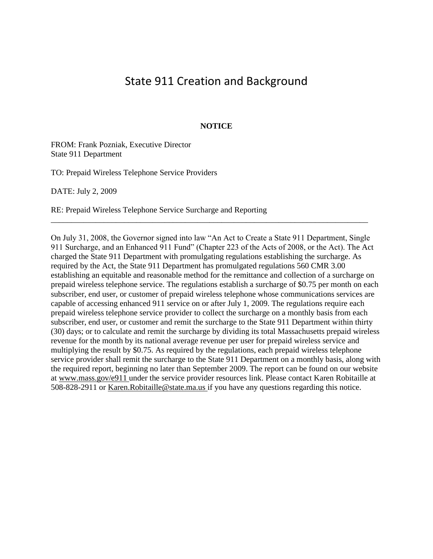# State 911 Creation and Background

## **NOTICE**

FROM: Frank Pozniak, Executive Director State 911 Department

TO: Prepaid Wireless Telephone Service Providers

DATE: July 2, 2009

RE: Prepaid Wireless Telephone Service Surcharge and Reporting

On July 31, 2008, the Governor signed into law "An Act to Create a State 911 Department, Single 911 Surcharge, and an Enhanced 911 Fund" (Chapter 223 of the Acts of 2008, or the Act). The Act charged the State 911 Department with promulgating regulations establishing the surcharge. As required by the Act, the State 911 Department has promulgated regulations 560 CMR 3.00 establishing an equitable and reasonable method for the remittance and collection of a surcharge on prepaid wireless telephone service. The regulations establish a surcharge of \$0.75 per month on each subscriber, end user, or customer of prepaid wireless telephone whose communications services are capable of accessing enhanced 911 service on or after July 1, 2009. The regulations require each prepaid wireless telephone service provider to collect the surcharge on a monthly basis from each subscriber, end user, or customer and remit the surcharge to the State 911 Department within thirty (30) days; or to calculate and remit the surcharge by dividing its total Massachusetts prepaid wireless revenue for the month by its national average revenue per user for prepaid wireless service and multiplying the result by \$0.75. As required by the regulations, each prepaid wireless telephone service provider shall remit the surcharge to the State 911 Department on a monthly basis, along with the required report, beginning no later than September 2009. The report can be found on our website at www.mass.gov/e911 under the service provider resources link. Please contact Karen Robitaille at 508-828-2911 or Karen.Robitaille@state.ma.us if you have any questions regarding this notice.

\_\_\_\_\_\_\_\_\_\_\_\_\_\_\_\_\_\_\_\_\_\_\_\_\_\_\_\_\_\_\_\_\_\_\_\_\_\_\_\_\_\_\_\_\_\_\_\_\_\_\_\_\_\_\_\_\_\_\_\_\_\_\_\_\_\_\_\_\_\_\_\_\_\_\_\_\_\_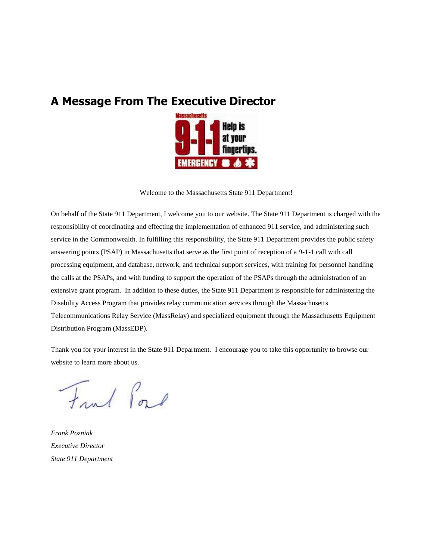# **A Message From The Executive Director**



Welcome to the Massachusetts State 911 Department!

On behalf of the State 911 Department, I welcome you to our website. The State 911 Department is charged with the responsibility of coordinating and effecting the implementation of enhanced 911 service, and administering such service in the Commonwealth. In fulfilling this responsibility, the State 911 Department provides the public safety answering points (PSAP) in Massachusetts that serve as the first point of reception of a 9-1-1 call with call processing equipment, and database, network, and technical support services, with training for personnel handling the calls at the PSAPs, and with funding to support the operation of the PSAPs through the administration of an extensive grant program. In addition to these duties, the State 911 Department is responsible for administering the Disability Access Program that provides relay communication services through the Massachusetts Telecommunications Relay Service (MassRelay) and specialized equipment through the Massachusetts Equipment Distribution Program (MassEDP).

Thank you for your interest in the State 911 Department. I encourage you to take this opportunity to browse our website to learn more about us.

Frut Port

*Frank Pozniak Executive Director State 911 Department*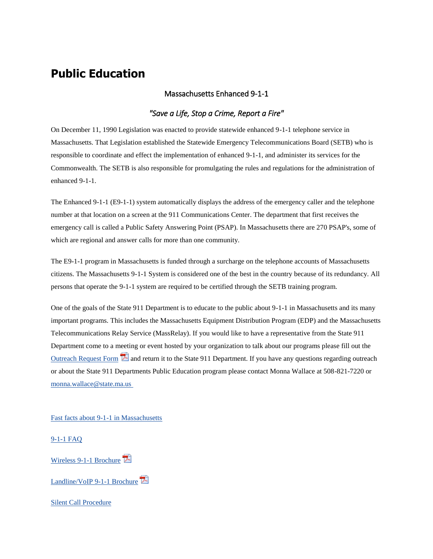# **Public Education**

## Massachusetts Enhanced 9-1-1

# *"Save a Life, Stop a Crime, Report a Fire"*

On December 11, 1990 Legislation was enacted to provide statewide enhanced 9-1-1 telephone service in Massachusetts. That Legislation established the Statewide Emergency Telecommunications Board (SETB) who is responsible to coordinate and effect the implementation of enhanced 9-1-1, and administer its services for the Commonwealth. The SETB is also responsible for promulgating the rules and regulations for the administration of enhanced 9-1-1.

The Enhanced 9-1-1 (E9-1-1) system automatically displays the address of the emergency caller and the telephone number at that location on a screen at the 911 Communications Center. The department that first receives the emergency call is called a Public Safety Answering Point (PSAP). In Massachusetts there are 270 PSAP's, some of which are regional and answer calls for more than one community.

The E9-1-1 program in Massachusetts is funded through a surcharge on the telephone accounts of Massachusetts citizens. The Massachusetts 9-1-1 System is considered one of the best in the country because of its redundancy. All persons that operate the 9-1-1 system are required to be certified through the SETB training program.

One of the goals of the State 911 Department is to educate to the public about 9-1-1 in Massachusetts and its many important programs. This includes the Massachusetts Equipment Distribution Program (EDP) and the Massachusetts Telecommunications Relay Service (MassRelay). If you would like to have a representative from the State 911 Department come to a meeting or event hosted by your organization to talk about our programs please fill out the [Outreach Request Form](http://www.mass.gov/eopss/docs/setb/community-outreach-request-form.pdf)  $\mathbb E$  and return it to the State 911 Department. If you have any questions regarding outreach or about the State 911 Departments Public Education program please contact Monna Wallace at 508-821-7220 or [monna.wallace@state.ma.us](mailto:monna.wallace@state.ma.us)

[Fast facts about 9-1-1 in Massachusetts](http://www.mass.gov/eopss/agencies/state-911/e911/trng-and-progs/fast-facts.html)

#### [9-1-1 FAQ](http://www.mass.gov/eopss/agencies/state-911/e911/trng-and-progs/faq.html)

[Wireless 9-1-1 Brochure](http://www.mass.gov/eopss/docs/setb/wireless-brochure.pdf)

[Landline/VoIP 9-1-1 Brochure](http://www.mass.gov/eopss/docs/setb/landline-voip-brochurepdf.pdf)

[Silent Call Procedure](http://www.mass.gov/eopss/agencies/state-911/e911/about-e911/silent-call-procedure-2.html)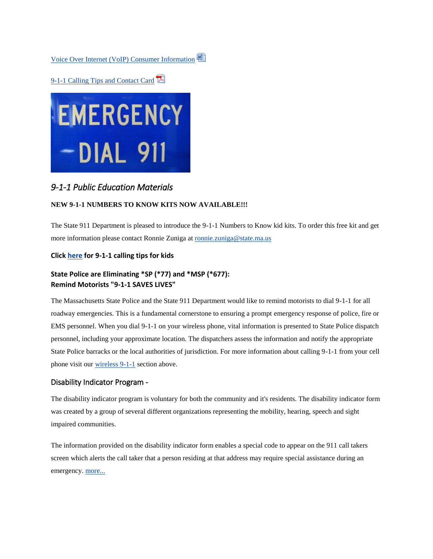[Voice Over Internet \(VoIP\) Consumer Information](http://www.mass.gov/eopss/docs/setb/fcc-voip-ruling-psap.doc)

[9-1-1 Calling Tips and Contact Card](http://www.mass.gov/eopss/docs/setb/emergency-contact-card09.pdf)



# *9-1-1 Public Education Materials*

### **NEW 9-1-1 NUMBERS TO KNOW KITS NOW AVAILABLE!!!**

The State 911 Department is pleased to introduce the 9-1-1 Numbers to Know kid kits. To order this free kit and get more information please contact Ronnie Zuniga at [ronnie.zuniga@state.ma.us](mailto:ronnie.zuniga@state.ma.us)

### **Clic[k here](http://www.mass.gov/eopss/agencies/state-911/e911/trng-and-progs/911-for-kids.html) for 9-1-1 calling tips for kids**

## **State Police are Eliminating \*SP (\*77) and \*MSP (\*677): Remind Motorists "9-1-1 SAVES LIVES"**

The Massachusetts State Police and the State 911 Department would like to remind motorists to dial 9-1-1 for all roadway emergencies. This is a fundamental cornerstone to ensuring a prompt emergency response of police, fire or EMS personnel. When you dial 9-1-1 on your wireless phone, vital information is presented to State Police dispatch personnel, including your approximate location. The dispatchers assess the information and notify the appropriate State Police barracks or the local authorities of jurisdiction. For more information about calling 9-1-1 from your cell phone visit our [wireless 9-1-1](http://www.mass.gov/eopss/agencies/state-911/e911/about-e911/wireless-911.html) section above.

### Disability Indicator Program -

The disability indicator program is voluntary for both the community and it's residents. The disability indicator form was created by a group of several different organizations representing the mobility, hearing, speech and sight impaired communities.

The information provided on the disability indicator form enables a special code to appear on the 911 call takers screen which alerts the call taker that a person residing at that address may require special assistance during an emergency. [more...](http://www.mass.gov/eopss/agencies/state-911/e911/about-e911/disability-indicator-program.html)